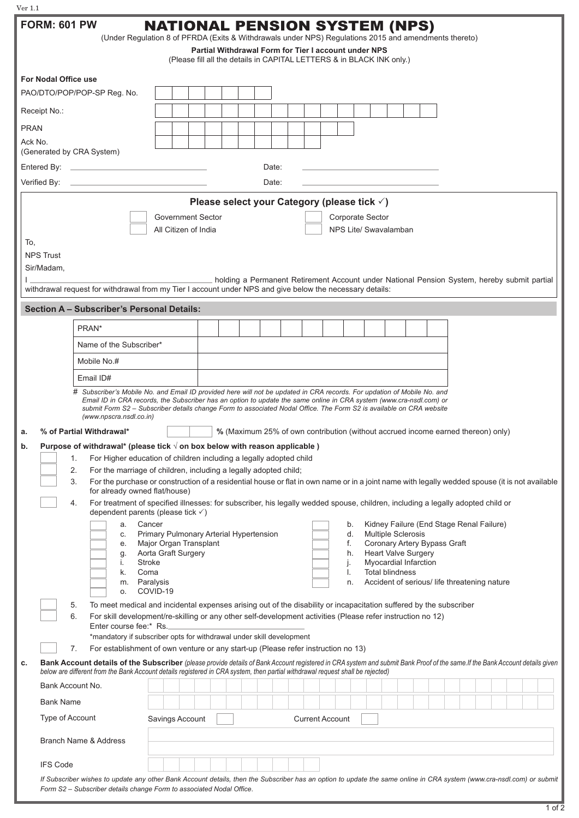| Ver 1.1<br><b>FORM: 601 PW</b><br><b>NATIONAL PENSION SYSTEM (NPS)</b>                                                        |                                                                                                                                                                                                                                                                                                                |  |  |
|-------------------------------------------------------------------------------------------------------------------------------|----------------------------------------------------------------------------------------------------------------------------------------------------------------------------------------------------------------------------------------------------------------------------------------------------------------|--|--|
| (Under Regulation 8 of PFRDA (Exits & Withdrawals under NPS) Regulations 2015 and amendments thereto)                         |                                                                                                                                                                                                                                                                                                                |  |  |
| Partial Withdrawal Form for Tier I account under NPS<br>(Please fill all the details in CAPITAL LETTERS & in BLACK INK only.) |                                                                                                                                                                                                                                                                                                                |  |  |
| For Nodal Office use                                                                                                          |                                                                                                                                                                                                                                                                                                                |  |  |
| PAO/DTO/POP/POP-SP Reg. No.                                                                                                   |                                                                                                                                                                                                                                                                                                                |  |  |
| Receipt No.:                                                                                                                  |                                                                                                                                                                                                                                                                                                                |  |  |
| <b>PRAN</b>                                                                                                                   |                                                                                                                                                                                                                                                                                                                |  |  |
| Ack No.<br>(Generated by CRA System)                                                                                          |                                                                                                                                                                                                                                                                                                                |  |  |
| Entered By:<br>the contract of the contract of the contract of the contract of the contract of<br>Date:                       |                                                                                                                                                                                                                                                                                                                |  |  |
| Verified By:<br>Date:                                                                                                         |                                                                                                                                                                                                                                                                                                                |  |  |
| Please select your Category (please tick √)                                                                                   |                                                                                                                                                                                                                                                                                                                |  |  |
| <b>Government Sector</b><br>Corporate Sector                                                                                  |                                                                                                                                                                                                                                                                                                                |  |  |
| NPS Lite/ Swavalamban<br>All Citizen of India                                                                                 |                                                                                                                                                                                                                                                                                                                |  |  |
| To.<br><b>NPS Trust</b>                                                                                                       |                                                                                                                                                                                                                                                                                                                |  |  |
| Sir/Madam,                                                                                                                    |                                                                                                                                                                                                                                                                                                                |  |  |
|                                                                                                                               | holding a Permanent Retirement Account under National Pension System, hereby submit partial<br>withdrawal request for withdrawal from my Tier I account under NPS and give below the necessary details:                                                                                                        |  |  |
| <b>Section A - Subscriber's Personal Details:</b>                                                                             |                                                                                                                                                                                                                                                                                                                |  |  |
| PRAN*                                                                                                                         |                                                                                                                                                                                                                                                                                                                |  |  |
| Name of the Subscriber*                                                                                                       |                                                                                                                                                                                                                                                                                                                |  |  |
| Mobile No.#                                                                                                                   |                                                                                                                                                                                                                                                                                                                |  |  |
| Email ID#                                                                                                                     |                                                                                                                                                                                                                                                                                                                |  |  |
|                                                                                                                               | # Subscriber's Mobile No. and Email ID provided here will not be updated in CRA records. For updation of Mobile No. and                                                                                                                                                                                        |  |  |
|                                                                                                                               | Email ID in CRA records, the Subscriber has an option to update the same online in CRA system (www.cra-nsdl.com) or<br>submit Form S2 - Subscriber details change Form to associated Nodal Office. The Form S2 is available on CRA website                                                                     |  |  |
| (www.npscra.nsdl.co.in)<br>% of Partial Withdrawal*<br>a.                                                                     | % (Maximum 25% of own contribution (without accrued income earned thereon) only)                                                                                                                                                                                                                               |  |  |
| b.                                                                                                                            | Purpose of withdrawal* (please tick $\sqrt{ }$ on box below with reason applicable )                                                                                                                                                                                                                           |  |  |
| 1.<br>For Higher education of children including a legally adopted child                                                      |                                                                                                                                                                                                                                                                                                                |  |  |
| 2.<br>3.                                                                                                                      | For the marriage of children, including a legally adopted child;<br>For the purchase or construction of a residential house or flat in own name or in a joint name with legally wedded spouse (it is not available                                                                                             |  |  |
| for already owned flat/house)                                                                                                 |                                                                                                                                                                                                                                                                                                                |  |  |
| 4.                                                                                                                            | For treatment of specified illnesses: for subscriber, his legally wedded spouse, children, including a legally adopted child or<br>dependent parents (please tick $\checkmark$ )                                                                                                                               |  |  |
| a.                                                                                                                            | Cancer<br>Kidney Failure (End Stage Renal Failure)<br>b.                                                                                                                                                                                                                                                       |  |  |
| С.<br>е.                                                                                                                      | Primary Pulmonary Arterial Hypertension<br><b>Multiple Sclerosis</b><br>d.<br>Major Organ Transplant<br>Coronary Artery Bypass Graft<br>f.                                                                                                                                                                     |  |  |
| g.                                                                                                                            | Aorta Graft Surgery<br><b>Heart Valve Surgery</b><br>h.                                                                                                                                                                                                                                                        |  |  |
| İ.<br>k.                                                                                                                      | <b>Stroke</b><br>Myocardial Infarction<br>j.<br><b>Total blindness</b><br>Coma<br>I.                                                                                                                                                                                                                           |  |  |
| m.                                                                                                                            | Paralysis<br>Accident of serious/ life threatening nature<br>n.                                                                                                                                                                                                                                                |  |  |
| 0.<br>5.                                                                                                                      | COVID-19<br>To meet medical and incidental expenses arising out of the disability or incapacitation suffered by the subscriber                                                                                                                                                                                 |  |  |
| 6.                                                                                                                            | For skill development/re-skilling or any other self-development activities (Please refer instruction no 12)                                                                                                                                                                                                    |  |  |
|                                                                                                                               | Enter course fee:* Rs.<br>*mandatory if subscriber opts for withdrawal under skill development                                                                                                                                                                                                                 |  |  |
| 7.                                                                                                                            | For establishment of own venture or any start-up (Please refer instruction no 13)                                                                                                                                                                                                                              |  |  |
| c.                                                                                                                            | Bank Account details of the Subscriber (please provide details of Bank Account registered in CRA system and submit Bank Proof of the same. If the Bank Account details given<br>below are different from the Bank Account details registered in CRA system, then partial withdrawal request shall be rejected) |  |  |
| Bank Account No.                                                                                                              |                                                                                                                                                                                                                                                                                                                |  |  |
| <b>Bank Name</b>                                                                                                              |                                                                                                                                                                                                                                                                                                                |  |  |
| Type of Account                                                                                                               | Savings Account<br><b>Current Account</b>                                                                                                                                                                                                                                                                      |  |  |
| <b>Branch Name &amp; Address</b>                                                                                              |                                                                                                                                                                                                                                                                                                                |  |  |
|                                                                                                                               |                                                                                                                                                                                                                                                                                                                |  |  |
| <b>IFS Code</b>                                                                                                               |                                                                                                                                                                                                                                                                                                                |  |  |
|                                                                                                                               | If Subscriber wishes to update any other Bank Account details, then the Subscriber has an option to update the same online in CRA system (www.cra-nsdl.com) or submit<br>Form S2 - Subscriber details change Form to associated Nodal Office.                                                                  |  |  |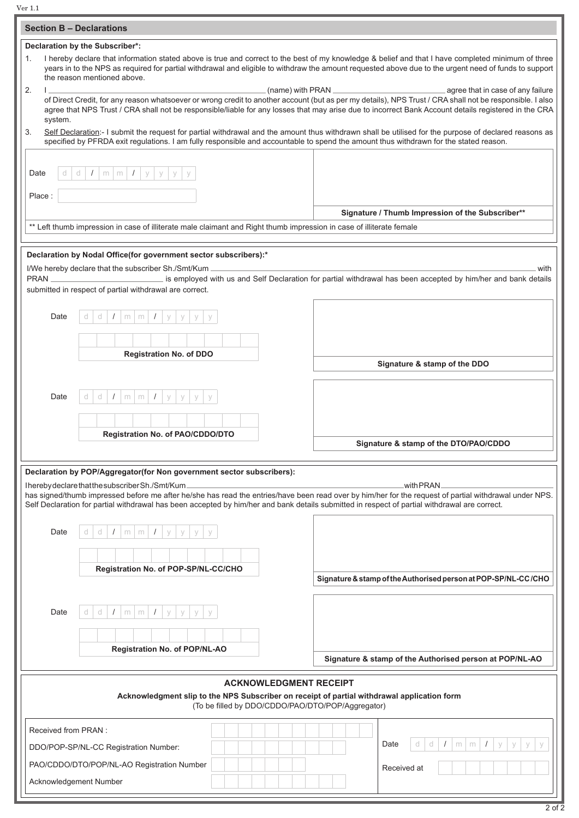Ver 1.1

| <b>Section B - Declarations</b>                                                                                                                                                                                                                                                                                                                                                             |                                                                                                           |                                                                |  |
|---------------------------------------------------------------------------------------------------------------------------------------------------------------------------------------------------------------------------------------------------------------------------------------------------------------------------------------------------------------------------------------------|-----------------------------------------------------------------------------------------------------------|----------------------------------------------------------------|--|
| Declaration by the Subscriber*:                                                                                                                                                                                                                                                                                                                                                             |                                                                                                           |                                                                |  |
| I hereby declare that information stated above is true and correct to the best of my knowledge & belief and that I have completed minimum of three<br>1.<br>years in to the NPS as required for partial withdrawal and eligible to withdraw the amount requested above due to the urgent need of funds to support<br>the reason mentioned above.                                            |                                                                                                           |                                                                |  |
| 2.<br>(name) with PRAN.<br>agree that in case of any failure<br>of Direct Credit, for any reason whatsoever or wrong credit to another account (but as per my details), NPS Trust / CRA shall not be responsible. I also<br>agree that NPS Trust / CRA shall not be responsible/liable for any losses that may arise due to incorrect Bank Account details registered in the CRA<br>system. |                                                                                                           |                                                                |  |
| Self Declaration:- I submit the request for partial withdrawal and the amount thus withdrawn shall be utilised for the purpose of declared reasons as<br>3.<br>specified by PFRDA exit regulations. I am fully responsible and accountable to spend the amount thus withdrawn for the stated reason.                                                                                        |                                                                                                           |                                                                |  |
| Date                                                                                                                                                                                                                                                                                                                                                                                        | $I \mid m \mid m \mid I \mid y \mid$<br>d<br>У                                                            |                                                                |  |
| Place:                                                                                                                                                                                                                                                                                                                                                                                      |                                                                                                           |                                                                |  |
| Signature / Thumb Impression of the Subscriber**<br>** Left thumb impression in case of illiterate male claimant and Right thumb impression in case of illiterate female                                                                                                                                                                                                                    |                                                                                                           |                                                                |  |
| Declaration by Nodal Office(for government sector subscribers):*<br>I/We hereby declare that the subscriber Sh./Smt/Kum .<br>with<br>is employed with us and Self Declaration for partial withdrawal has been accepted by him/her and bank details<br>PRAN                                                                                                                                  |                                                                                                           |                                                                |  |
| submitted in respect of partial withdrawal are correct.                                                                                                                                                                                                                                                                                                                                     |                                                                                                           |                                                                |  |
| Date                                                                                                                                                                                                                                                                                                                                                                                        | d<br>d<br>$m \mid m \mid$<br>$\sqrt{ }$<br>У<br>У                                                         |                                                                |  |
|                                                                                                                                                                                                                                                                                                                                                                                             |                                                                                                           |                                                                |  |
|                                                                                                                                                                                                                                                                                                                                                                                             | <b>Registration No. of DDO</b>                                                                            | Signature & stamp of the DDO                                   |  |
| Date                                                                                                                                                                                                                                                                                                                                                                                        | d<br>d<br>$\prime$<br>$m \mid m$<br>$\sqrt{ }$<br>У<br>y                                                  |                                                                |  |
|                                                                                                                                                                                                                                                                                                                                                                                             |                                                                                                           |                                                                |  |
|                                                                                                                                                                                                                                                                                                                                                                                             | Registration No. of PAO/CDDO/DTO                                                                          | Signature & stamp of the DTO/PAO/CDDO                          |  |
|                                                                                                                                                                                                                                                                                                                                                                                             | Declaration by POP/Aggregator(for Non government sector subscribers):                                     |                                                                |  |
| IherebydeclarethatthesubscriberSh./Smt/Kum.<br>with PRAN<br>has signed/thumb impressed before me after he/she has read the entries/have been read over by him/her for the request of partial withdrawal under NPS.<br>Self Declaration for partial withdrawal has been accepted by him/her and bank details submitted in respect of partial withdrawal are correct.                         |                                                                                                           |                                                                |  |
| Date                                                                                                                                                                                                                                                                                                                                                                                        | d<br>$m \mid m \mid$<br>V                                                                                 |                                                                |  |
|                                                                                                                                                                                                                                                                                                                                                                                             |                                                                                                           |                                                                |  |
|                                                                                                                                                                                                                                                                                                                                                                                             | Registration No. of POP-SP/NL-CC/CHO                                                                      | Signature & stamp of the Authorised person at POP-SP/NL-CC/CHO |  |
| Date                                                                                                                                                                                                                                                                                                                                                                                        | d<br>d<br>m<br>m<br>V                                                                                     |                                                                |  |
|                                                                                                                                                                                                                                                                                                                                                                                             |                                                                                                           |                                                                |  |
|                                                                                                                                                                                                                                                                                                                                                                                             | Registration No. of POP/NL-AO                                                                             | Signature & stamp of the Authorised person at POP/NL-AO        |  |
| <b>ACKNOWLEDGMENT RECEIPT</b><br>Acknowledgment slip to the NPS Subscriber on receipt of partial withdrawal application form<br>(To be filled by DDO/CDDO/PAO/DTO/POP/Aggregator)                                                                                                                                                                                                           |                                                                                                           |                                                                |  |
| Received from PRAN:                                                                                                                                                                                                                                                                                                                                                                         |                                                                                                           |                                                                |  |
|                                                                                                                                                                                                                                                                                                                                                                                             | Date<br>d<br>d<br>$\prime$<br>$m \mid m$<br>$\sqrt{2}$<br>У<br>V<br>DDO/POP-SP/NL-CC Registration Number: |                                                                |  |
| PAO/CDDO/DTO/POP/NL-AO Registration Number<br>Received at                                                                                                                                                                                                                                                                                                                                   |                                                                                                           |                                                                |  |
| Acknowledgement Number                                                                                                                                                                                                                                                                                                                                                                      |                                                                                                           |                                                                |  |